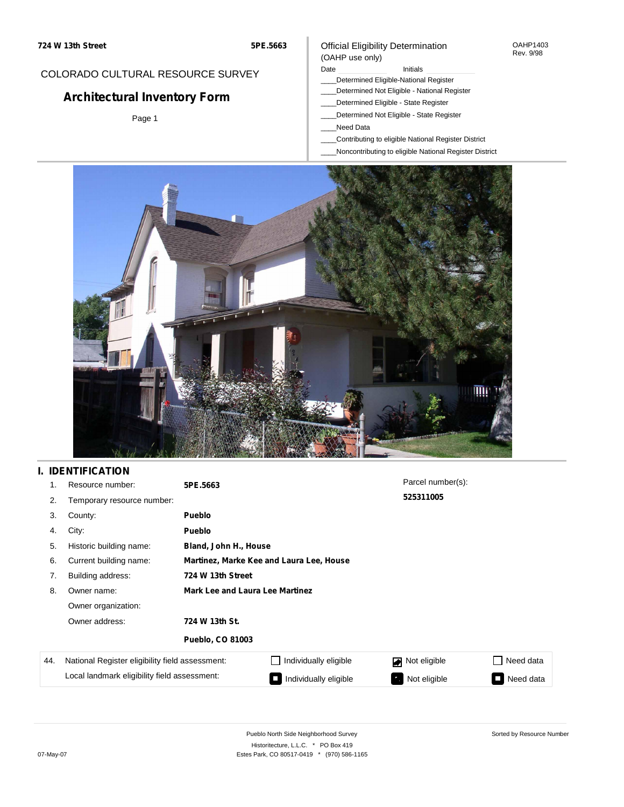# COLORADO CULTURAL RESOURCE SURVEY

# **Architectural Inventory Form**

Page 1

## Official Eligibility Determination (OAHP use only)

Date **Initials** Initials

- \_\_\_\_Determined Eligible-National Register
- \_\_\_\_Determined Not Eligible National Register
- \_\_\_\_Determined Eligible State Register
- \_\_\_\_Determined Not Eligible State Register
- \_\_\_\_Need Data
- \_\_\_\_Contributing to eligible National Register District
- \_\_\_\_Noncontributing to eligible National Register District



# **I. IDENTIFICATION**

| 1.  | Resource number:                                | 5PE.5663                                 |                       | Parcel number(s):  |           |  |  |  |
|-----|-------------------------------------------------|------------------------------------------|-----------------------|--------------------|-----------|--|--|--|
| 2.  | Temporary resource number:                      |                                          |                       | 525311005          |           |  |  |  |
| 3.  | County:                                         | <b>Pueblo</b>                            |                       |                    |           |  |  |  |
| 4.  | City:                                           | <b>Pueblo</b>                            |                       |                    |           |  |  |  |
| 5.  | Historic building name:                         |                                          | Bland, John H., House |                    |           |  |  |  |
| 6.  | Current building name:                          | Martinez, Marke Kee and Laura Lee, House |                       |                    |           |  |  |  |
| 7.  | Building address:                               | 724 W 13th Street                        |                       |                    |           |  |  |  |
| 8.  | Owner name:                                     | <b>Mark Lee and Laura Lee Martinez</b>   |                       |                    |           |  |  |  |
|     | Owner organization:                             |                                          |                       |                    |           |  |  |  |
|     | Owner address:                                  | 724 W 13th St.                           |                       |                    |           |  |  |  |
|     |                                                 | <b>Pueblo, CO 81003</b>                  |                       |                    |           |  |  |  |
| 44. | National Register eligibility field assessment: |                                          | Individually eligible | Not eligible<br>◪  | Need data |  |  |  |
|     | Local landmark eligibility field assessment:    |                                          | Individually eligible | Not eligible<br>P, | Need data |  |  |  |

OAHP1403 Rev. 9/98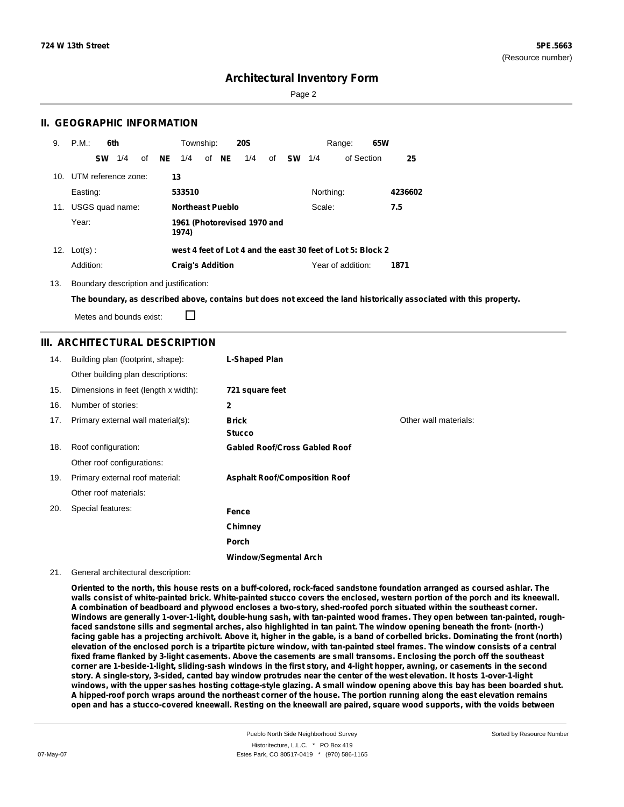Page 2

## **II. GEOGRAPHIC INFORMATION**

| 9.  | P.M.                | 6th       |     |    |    | Township:               |       | <b>20S</b>                  |    |           |           | Range:                                                      | 65W |         |
|-----|---------------------|-----------|-----|----|----|-------------------------|-------|-----------------------------|----|-----------|-----------|-------------------------------------------------------------|-----|---------|
|     |                     | <b>SW</b> | 1/4 | οf | NE | 1/4                     | of NE | 1/4                         | of | <b>SW</b> | 1/4       | of Section                                                  |     | 25      |
| 10. | UTM reference zone: |           |     |    |    | 13                      |       |                             |    |           |           |                                                             |     |         |
|     | Easting:            |           |     |    |    | 533510                  |       |                             |    |           | Northing: |                                                             |     | 4236602 |
| 11. | USGS quad name:     |           |     |    |    | <b>Northeast Pueblo</b> |       |                             |    |           | Scale:    |                                                             |     | 7.5     |
|     | Year:               |           |     |    |    | 1974)                   |       | 1961 (Photorevised 1970 and |    |           |           |                                                             |     |         |
| 12. | $Lot(s)$ :          |           |     |    |    |                         |       |                             |    |           |           | west 4 feet of Lot 4 and the east 30 feet of Lot 5: Block 2 |     |         |
|     | Addition:           |           |     |    |    | <b>Craig's Addition</b> |       |                             |    |           |           | Year of addition:                                           |     | 1871    |

13. Boundary description and justification:

The boundary, as described above, contains but does not exceed the land historically associated with this property.

Metes and bounds exist:

П

## **III. ARCHITECTURAL DESCRIPTION**

| 14. | Building plan (footprint, shape):    | <b>L-Shaped Plan</b>                 |                       |
|-----|--------------------------------------|--------------------------------------|-----------------------|
|     | Other building plan descriptions:    |                                      |                       |
| 15. | Dimensions in feet (length x width): | 721 square feet                      |                       |
| 16. | Number of stories:                   | 2                                    |                       |
| 17. | Primary external wall material(s):   | <b>Brick</b><br><b>Stucco</b>        | Other wall materials: |
| 18. | Roof configuration:                  | <b>Gabled Roof/Cross Gabled Roof</b> |                       |
|     | Other roof configurations:           |                                      |                       |
| 19. | Primary external roof material:      | <b>Asphalt Roof/Composition Roof</b> |                       |
|     | Other roof materials:                |                                      |                       |
| 20. | Special features:                    | Fence                                |                       |
|     |                                      | Chimney                              |                       |
|     |                                      | <b>Porch</b>                         |                       |
|     |                                      | <b>Window/Segmental Arch</b>         |                       |

#### 21. General architectural description:

Oriented to the north, this house rests on a buff-colored, rock-faced sandstone foundation arranged as coursed ashlar. The walls consist of white-painted brick. White-painted stucco covers the enclosed, western portion of the porch and its kneewall. A combination of beadboard and plywood encloses a two-story, shed-roofed porch situated within the southeast corner. Windows are generally 1-over-1-light, double-hung sash, with tan-painted wood frames. They open between tan-painted, roughfaced sandstone sills and segmental arches, also highlighted in tan paint. The window opening beneath the front- (north-) facing gable has a projecting archivolt. Above it, higher in the gable, is a band of corbelled bricks. Dominating the front (north) elevation of the enclosed porch is a tripartite picture window, with tan-painted steel frames. The window consists of a central fixed frame flanked by 3-light casements. Above the casements are small transoms. Enclosing the porch off the southeast corner are 1-beside-1-light, sliding-sash windows in the first story, and 4-light hopper, awning, or casements in the second story. A single-story, 3-sided, canted bay window protrudes near the center of the west elevation. It hosts 1-over-1-light windows, with the upper sashes hosting cottage-style glazing. A small window opening above this bay has been boarded shut. A hipped-roof porch wraps around the northeast corner of the house. The portion running along the east elevation remains open and has a stucco-covered kneewall. Resting on the kneewall are paired, square wood supports, with the voids between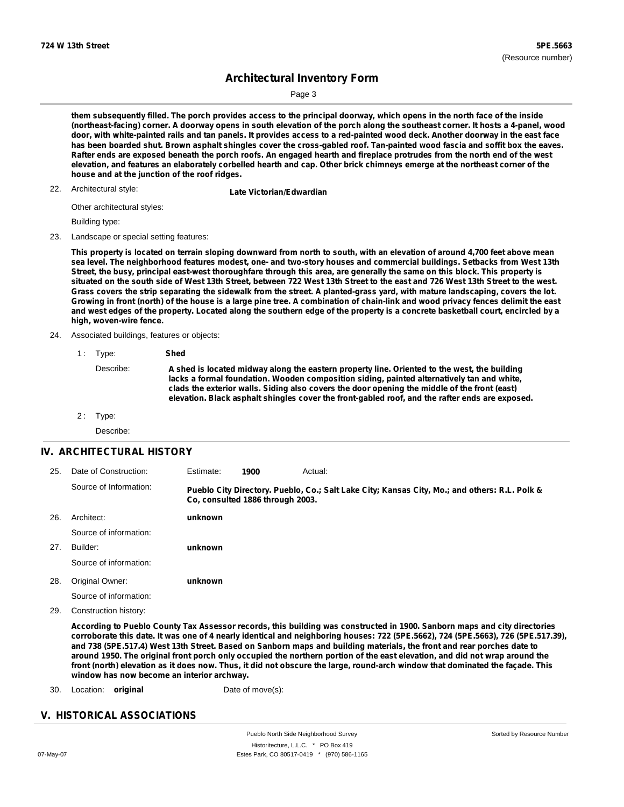Page 3

them subsequently filled. The porch provides access to the principal doorway, which opens in the north face of the inside (northeast-facing) corner. A doorway opens in south elevation of the porch along the southeast corner. It hosts a 4-panel, wood door, with white-painted rails and tan panels. It provides access to a red-painted wood deck. Another doorway in the east face has been boarded shut. Brown asphalt shingles cover the cross-gabled roof. Tan-painted wood fascia and soffit box the eaves. Rafter ends are exposed beneath the porch roofs. An engaged hearth and fireplace protrudes from the north end of the west elevation, and features an elaborately corbelled hearth and cap. Other brick chimneys emerge at the northeast corner of the **house and at the junction of the roof ridges.**

22. Architectural style: **Late Victorian/Edwardian** 

Other architectural styles:

Building type:

23. Landscape or special setting features:

This property is located on terrain sloping downward from north to south, with an elevation of around 4,700 feet above mean sea level. The neighborhood features modest, one- and two-story houses and commercial buildings. Setbacks from West 13th Street, the busy, principal east-west thoroughfare through this area, are generally the same on this block. This property is situated on the south side of West 13th Street, between 722 West 13th Street to the east and 726 West 13th Street to the west. Grass covers the strip separating the sidewalk from the street. A planted-grass yard, with mature landscaping, covers the lot. Growing in front (north) of the house is a large pine tree. A combination of chain-link and wood privacy fences delimit the east and west edges of the property. Located along the southern edge of the property is a concrete basketball court, encircled by a **high, woven-wire fence.**

- 24. Associated buildings, features or objects:
	- 1 : Type: **Shed**
		- Describe: **A shed is located midway along the eastern property line. Oriented to the west, the building lacks a formal foundation. Wooden composition siding, painted alternatively tan and white, clads the exterior walls. Siding also covers the door opening the middle of the front (east) elevation. Black asphalt shingles cover the front-gabled roof, and the rafter ends are exposed.**
	- 2: Type:

Describe:

### **IV. ARCHITECTURAL HISTORY**

| 25. | Date of Construction:  | Estimate: | 1900                             | Actual:                                                                                       |
|-----|------------------------|-----------|----------------------------------|-----------------------------------------------------------------------------------------------|
|     | Source of Information: |           | Co. consulted 1886 through 2003. | Pueblo City Directory. Pueblo, Co.; Salt Lake City; Kansas City, Mo.; and others: R.L. Polk & |
| 26. | Architect:             | unknown   |                                  |                                                                                               |
|     | Source of information: |           |                                  |                                                                                               |
| 27. | Builder:               | unknown   |                                  |                                                                                               |
|     | Source of information: |           |                                  |                                                                                               |
| 28. | Original Owner:        | unknown   |                                  |                                                                                               |
|     | Source of information: |           |                                  |                                                                                               |
| 29. | Construction history:  |           |                                  |                                                                                               |

According to Pueblo County Tax Assessor records, this building was constructed in 1900. Sanborn maps and city directories corroborate this date. It was one of 4 nearly identical and neighboring houses: 722 (5PE.5662), 724 (5PE.5663), 726 (5PE.517.39), and 738 (5PE.517.4) West 13th Street. Based on Sanborn maps and building materials, the front and rear porches date to around 1950. The original front porch only occupied the northern portion of the east elevation, and did not wrap around the front (north) elevation as it does now. Thus, it did not obscure the large, round-arch window that dominated the façade. This **window has now become an interior archway.**

30. Location: **original Date of move(s):** 

### **V. HISTORICAL ASSOCIATIONS**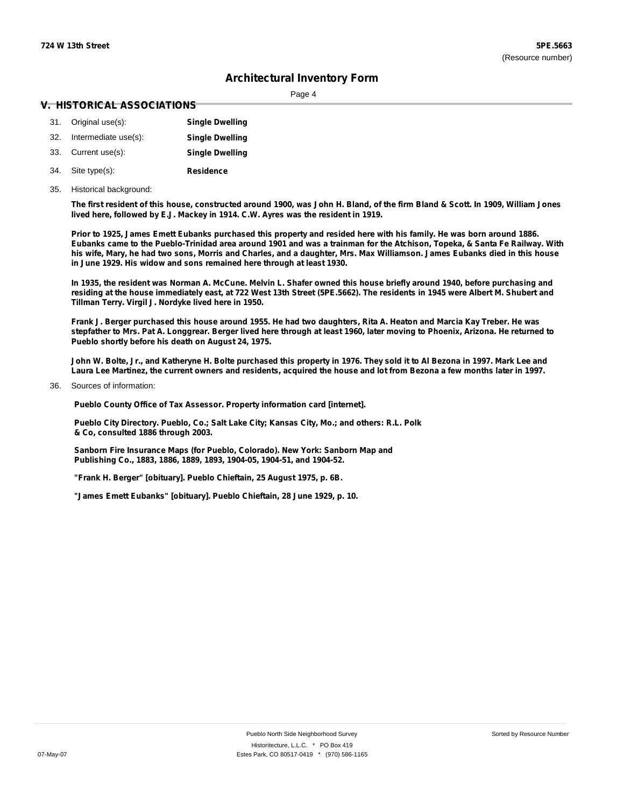Page 4

#### **V. HISTORICAL ASSOCIATIONS**

| 31. Original use(s):     | <b>Single Dwelling</b> |
|--------------------------|------------------------|
| 32. Intermediate use(s): | <b>Single Dwelling</b> |
| 33. Current use(s):      | <b>Single Dwelling</b> |
| 34. Site type(s):        | <b>Residence</b>       |

35. Historical background:

The first resident of this house, constructed around 1900, was John H. Bland, of the firm Bland & Scott. In 1909, William Jones **lived here, followed by E.J. Mackey in 1914. C.W. Ayres was the resident in 1919.**

Prior to 1925, James Emett Eubanks purchased this property and resided here with his family. He was born around 1886. Eubanks came to the Pueblo-Trinidad area around 1901 and was a trainman for the Atchison, Topeka, & Santa Fe Railway. With his wife, Mary, he had two sons, Morris and Charles, and a daughter, Mrs. Max Williamson. James Eubanks died in this house **in June 1929. His widow and sons remained here through at least 1930.**

In 1935, the resident was Norman A. McCune, Melvin L. Shafer owned this house briefly around 1940, before purchasing and residing at the house immediately east, at 722 West 13th Street (5PE.5662). The residents in 1945 were Albert M. Shubert and **Tillman Terry. Virgil J. Nordyke lived here in 1950.**

Frank J. Berger purchased this house around 1955. He had two daughters, Rita A. Heaton and Marcia Kay Treber. He was stepfather to Mrs. Pat A. Longgrear. Berger lived here through at least 1960, later moving to Phoenix, Arizona. He returned to **Pueblo shortly before his death on August 24, 1975.**

John W. Bolte, Jr., and Katheryne H. Bolte purchased this property in 1976. They sold it to Al Bezona in 1997, Mark Lee and Laura Lee Martinez, the current owners and residents, acquired the house and lot from Bezona a few months later in 1997.

Sources of information: 36.

**Pueblo County Office of Tax Assessor. Property information card [internet].**

**Pueblo City Directory. Pueblo, Co.; Salt Lake City; Kansas City, Mo.; and others: R.L. Polk & Co, consulted 1886 through 2003.**

**Sanborn Fire Insurance Maps (for Pueblo, Colorado). New York: Sanborn Map and Publishing Co., 1883, 1886, 1889, 1893, 1904-05, 1904-51, and 1904-52.**

**"Frank H. Berger" [obituary]. Pueblo Chieftain, 25 August 1975, p. 6B.**

**"James Emett Eubanks" [obituary]. Pueblo Chieftain, 28 June 1929, p. 10.**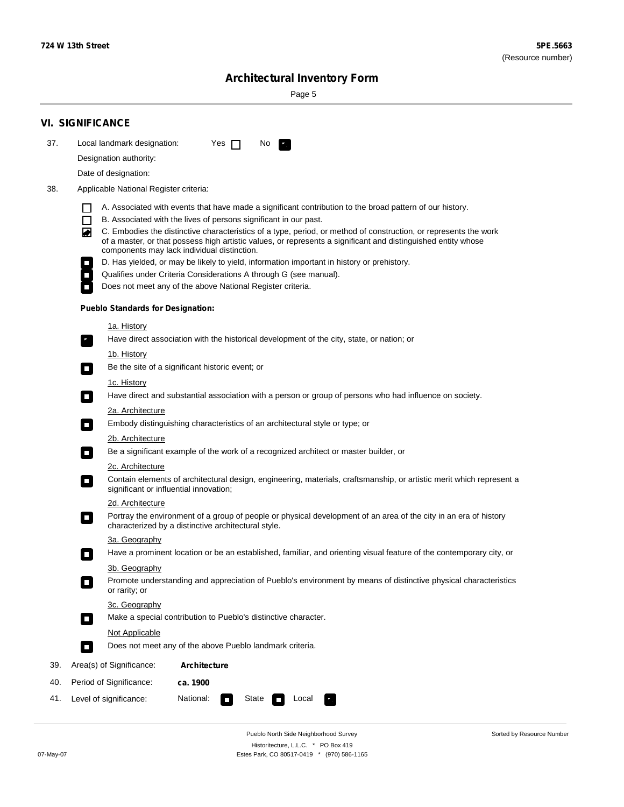÷

Sorted by Resource Number

# **Architectural Inventory Form**

Page 5

|     | <b>VI. SIGNIFICANCE</b>                                                                                                                                                                                                                                                          |  |  |  |  |  |  |  |
|-----|----------------------------------------------------------------------------------------------------------------------------------------------------------------------------------------------------------------------------------------------------------------------------------|--|--|--|--|--|--|--|
| 37. | Local landmark designation:<br>Yes $\Box$<br>No.                                                                                                                                                                                                                                 |  |  |  |  |  |  |  |
|     | Designation authority:                                                                                                                                                                                                                                                           |  |  |  |  |  |  |  |
|     | Date of designation:                                                                                                                                                                                                                                                             |  |  |  |  |  |  |  |
| 38. | Applicable National Register criteria:                                                                                                                                                                                                                                           |  |  |  |  |  |  |  |
|     | A. Associated with events that have made a significant contribution to the broad pattern of our history.<br>l.                                                                                                                                                                   |  |  |  |  |  |  |  |
|     | B. Associated with the lives of persons significant in our past.<br>$\Box$                                                                                                                                                                                                       |  |  |  |  |  |  |  |
|     | C. Embodies the distinctive characteristics of a type, period, or method of construction, or represents the work<br>of a master, or that possess high artistic values, or represents a significant and distinguished entity whose<br>components may lack individual distinction. |  |  |  |  |  |  |  |
|     | D. Has yielded, or may be likely to yield, information important in history or prehistory.                                                                                                                                                                                       |  |  |  |  |  |  |  |
|     | Qualifies under Criteria Considerations A through G (see manual).                                                                                                                                                                                                                |  |  |  |  |  |  |  |
|     | Does not meet any of the above National Register criteria.                                                                                                                                                                                                                       |  |  |  |  |  |  |  |
|     | <b>Pueblo Standards for Designation:</b>                                                                                                                                                                                                                                         |  |  |  |  |  |  |  |
|     | 1a. History                                                                                                                                                                                                                                                                      |  |  |  |  |  |  |  |
|     | Have direct association with the historical development of the city, state, or nation; or                                                                                                                                                                                        |  |  |  |  |  |  |  |
|     | <u>1b. History</u><br>Be the site of a significant historic event; or<br>$\mathcal{L}_{\mathcal{A}}$                                                                                                                                                                             |  |  |  |  |  |  |  |
|     | 1c. History                                                                                                                                                                                                                                                                      |  |  |  |  |  |  |  |
|     | Have direct and substantial association with a person or group of persons who had influence on society.<br>$\blacksquare$                                                                                                                                                        |  |  |  |  |  |  |  |
|     | 2a. Architecture                                                                                                                                                                                                                                                                 |  |  |  |  |  |  |  |
|     | Embody distinguishing characteristics of an architectural style or type; or                                                                                                                                                                                                      |  |  |  |  |  |  |  |
|     | 2b. Architecture                                                                                                                                                                                                                                                                 |  |  |  |  |  |  |  |
|     | Be a significant example of the work of a recognized architect or master builder, or<br>$\sim$                                                                                                                                                                                   |  |  |  |  |  |  |  |
|     | 2c. Architecture                                                                                                                                                                                                                                                                 |  |  |  |  |  |  |  |
|     | Contain elements of architectural design, engineering, materials, craftsmanship, or artistic merit which represent a<br>О<br>significant or influential innovation;                                                                                                              |  |  |  |  |  |  |  |
|     | 2d. Architecture                                                                                                                                                                                                                                                                 |  |  |  |  |  |  |  |
|     | Portray the environment of a group of people or physical development of an area of the city in an era of history<br>$\Box$<br>characterized by a distinctive architectural style.                                                                                                |  |  |  |  |  |  |  |
|     | 3a. Geography                                                                                                                                                                                                                                                                    |  |  |  |  |  |  |  |
|     | Have a prominent location or be an established, familiar, and orienting visual feature of the contemporary city, or                                                                                                                                                              |  |  |  |  |  |  |  |
|     | 3b. Geography                                                                                                                                                                                                                                                                    |  |  |  |  |  |  |  |
|     | Promote understanding and appreciation of Pueblo's environment by means of distinctive physical characteristics<br>or rarity; or                                                                                                                                                 |  |  |  |  |  |  |  |
|     | 3c. Geography<br>Make a special contribution to Pueblo's distinctive character.<br>$\sim$                                                                                                                                                                                        |  |  |  |  |  |  |  |
|     | Not Applicable                                                                                                                                                                                                                                                                   |  |  |  |  |  |  |  |
|     | Does not meet any of the above Pueblo landmark criteria.<br>$\overline{\phantom{a}}$                                                                                                                                                                                             |  |  |  |  |  |  |  |
| 39. | Area(s) of Significance:<br><b>Architecture</b>                                                                                                                                                                                                                                  |  |  |  |  |  |  |  |
| 40. | Period of Significance:<br>ca. 1900                                                                                                                                                                                                                                              |  |  |  |  |  |  |  |
| 41. | National:<br>Level of significance:<br>State<br>Local<br>т,<br>П                                                                                                                                                                                                                 |  |  |  |  |  |  |  |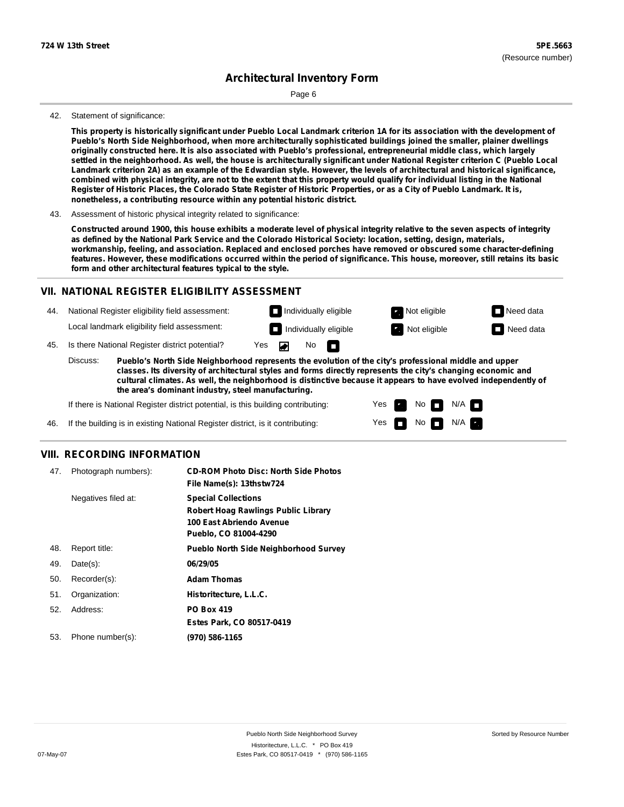Page 6

#### 42. Statement of significance:

This property is historically significant under Pueblo Local Landmark criterion 1A for its association with the development of **Pueblo's North Side Neighborhood, when more architecturally sophisticated buildings joined the smaller, plainer dwellings** originally constructed here. It is also associated with Pueblo's professional, entrepreneurial middle class, which largely settled in the neighborhood. As well, the house is architecturally significant under National Register criterion C (Pueblo Local Landmark criterion 2A) as an example of the Edwardian style. However, the levels of architectural and historical significance, combined with physical integrity, are not to the extent that this property would qualify for individual listing in the National Register of Historic Places, the Colorado State Register of Historic Properties, or as a City of Pueblo Landmark. It is, **nonetheless, a contributing resource within any potential historic district.**

43. Assessment of historic physical integrity related to significance:

Constructed around 1900, this house exhibits a moderate level of physical integrity relative to the seven aspects of integrity as defined by the National Park Service and the Colorado Historical Society: location, setting, design, materials, **workmanship, feeling, and association. Replaced and enclosed porches have removed or obscured some character-defining** features. However, these modifications occurred within the period of significance. This house, moreover, still retains its basic **form and other architectural features typical to the style.**

### **VII. NATIONAL REGISTER ELIGIBILITY ASSESSMENT**

44. National Register eligibility field assessment: Local landmark eligibility field assessment:

45. Is there National Register district potential? Yes  $\overline{\bullet}$ 

**Pueblo's North Side Neighborhood represents the evolution of the city's professional middle and upper classes. Its diversity of architectural styles and forms directly represents the city's changing economic and cultural climates. As well, the neighborhood is distinctive because it appears to have evolved independently of the area's dominant industry, steel manufacturing.** Discuss:

No

m

Yes Yes No

**Individually eligible Not eligible** Not eligible **Need data Individually eligible Not eligible** Not eligible **Need data** 

 $No$   $M/A$ 

 $N/A$ 

If there is National Register district potential, is this building contributing:

If the building is in existing National Register district, is it contributing: 46.

## **VIII. RECORDING INFORMATION**

| 47. | Photograph numbers): | <b>CD-ROM Photo Disc: North Side Photos</b><br>File Name(s): 13thstw724                                                       |
|-----|----------------------|-------------------------------------------------------------------------------------------------------------------------------|
|     | Negatives filed at:  | <b>Special Collections</b><br><b>Robert Hoag Rawlings Public Library</b><br>100 East Abriendo Avenue<br>Pueblo, CO 81004-4290 |
| 48. | Report title:        | <b>Pueblo North Side Neighborhood Survey</b>                                                                                  |
| 49. | $Date(s)$ :          | 06/29/05                                                                                                                      |
| 50. | Recorder(s):         | <b>Adam Thomas</b>                                                                                                            |
| 51. | Organization:        | Historitecture, L.L.C.                                                                                                        |
| 52. | Address:             | <b>PO Box 419</b>                                                                                                             |
|     |                      | Estes Park, CO 80517-0419                                                                                                     |
| 53. | Phone number(s):     | (970) 586-1165                                                                                                                |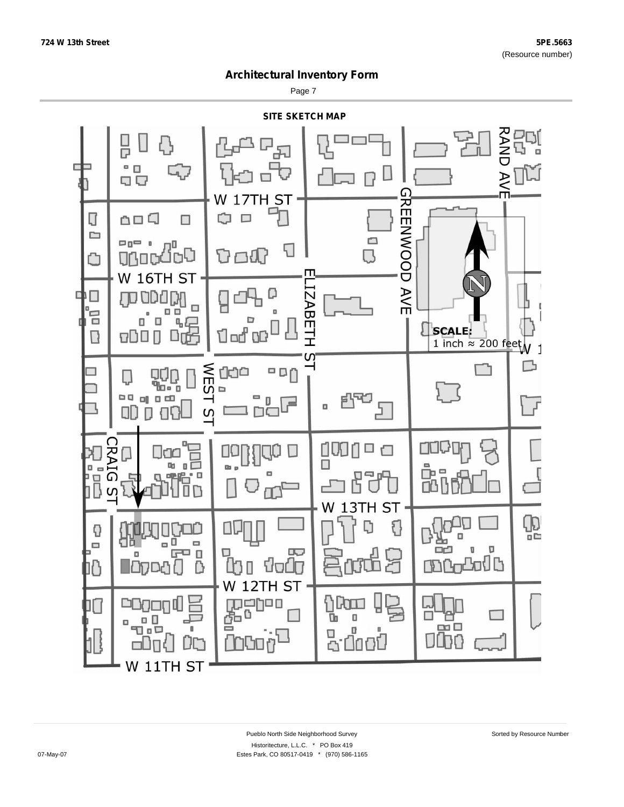Page 7